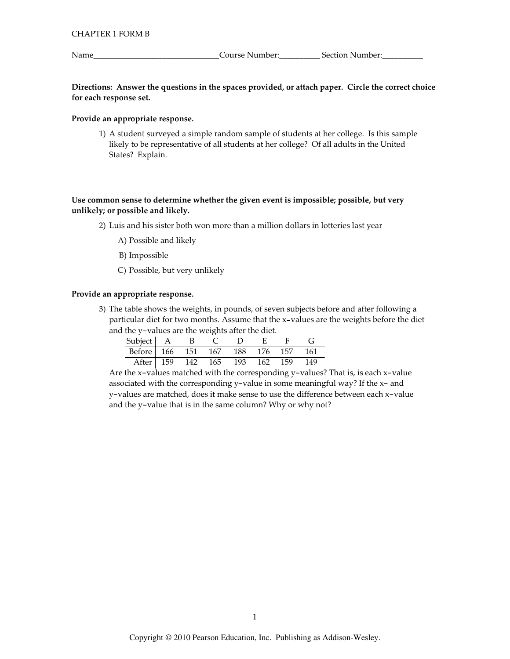Name\_

\_Course Number:\_\_\_\_\_\_\_\_\_\_\_\_\_\_\_\_\_\_\_ Section Number:\_

Directions: Answer the questions in the spaces provided, or attach paper. Circle the correct choice for each response set.

### Provide an appropriate response.

1) A student surveyed a simple random sample of students at her college. Is this sample likely to be representative of all students at her college? Of all adults in the United States? Explain.

# Use common sense to determine whether the given event is impossible; possible, but very unlikely; or possible and likely.

- 2) Luis and his sister both won more than a million dollars in lotteries last year
	- A) Possible and likely
	- B) Impossible
	- C) Possible, but very unlikely

### Provide an appropriate response.

3) The table shows the weights, in pounds, of seven subjects before and after following a particular diet for two months. Assume that the x-values are the weights before the diet and the y-values are the weights after the diet.

| Subject   A B                      |  | CDEF |  |  |
|------------------------------------|--|------|--|--|
| Before 166 151 167 188 176 157 161 |  |      |  |  |
| After 159 142 165 193 162 159 149  |  |      |  |  |

Are the x-values matched with the corresponding y-values? That is, is each x-value associated with the corresponding y-value in some meaningful way? If the x- and y-values are matched, does it make sense to use the difference between each x-value and the y-value that is in the same column? Why or why not?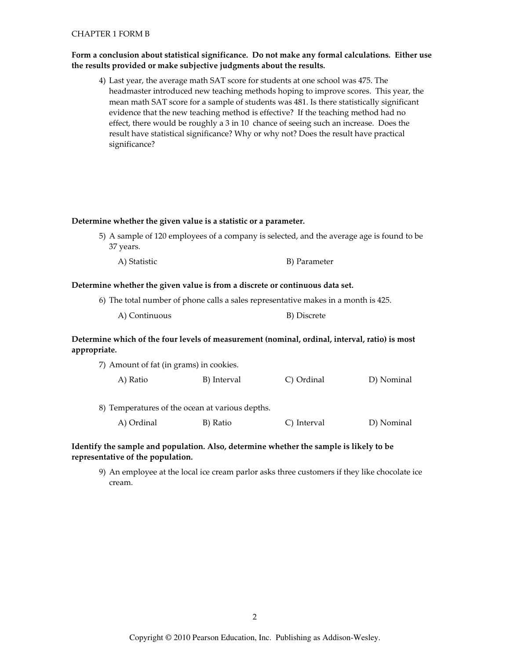### **CHAPTER 1 FORM B**

### Form a conclusion about statistical significance. Do not make any formal calculations. Either use the results provided or make subjective judgments about the results.

4) Last year, the average math SAT score for students at one school was 475. The headmaster introduced new teaching methods hoping to improve scores. This year, the mean math SAT score for a sample of students was 481. Is there statistically significant evidence that the new teaching method is effective? If the teaching method had no effect, there would be roughly a 3 in 10 chance of seeing such an increase. Does the result have statistical significance? Why or why not? Does the result have practical significance?

#### Determine whether the given value is a statistic or a parameter.

- 5) A sample of 120 employees of a company is selected, and the average age is found to be 37 years.
	- A) Statistic B) Parameter

#### Determine whether the given value is from a discrete or continuous data set.

- 6) The total number of phone calls a sales representative makes in a month is 425.
	- A) Continuous B) Discrete

# Determine which of the four levels of measurement (nominal, ordinal, interval, ratio) is most appropriate.

7) Amount of fat (in grams) in cookies.

| A) Ratio<br>B) Interval | C) Ordinal | D) Nominal |
|-------------------------|------------|------------|
|-------------------------|------------|------------|

8) Temperatures of the ocean at various depths. B) Ratio C) Interval D) Nominal A) Ordinal

## Identify the sample and population. Also, determine whether the sample is likely to be representative of the population.

9) An employee at the local ice cream parlor asks three customers if they like chocolate ice cream.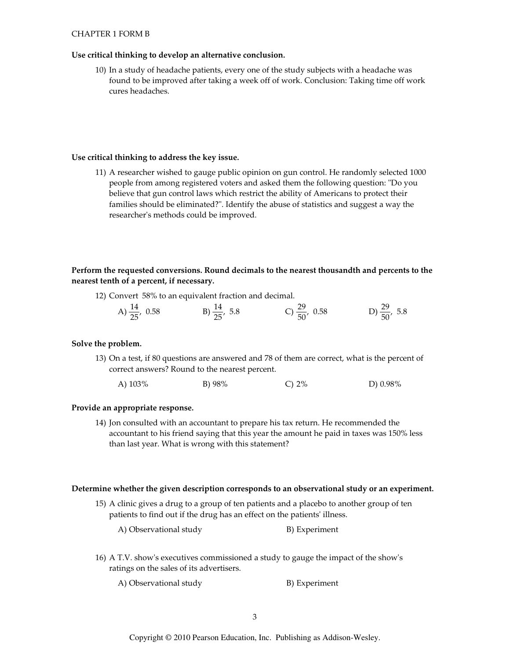### **CHAPTER 1 FORM B**

### Use critical thinking to develop an alternative conclusion.

10) In a study of headache patients, every one of the study subjects with a headache was found to be improved after taking a week off of work. Conclusion: Taking time off work cures headaches.

### Use critical thinking to address the key issue.

11) A researcher wished to gauge public opinion on gun control. He randomly selected 1000 people from among registered voters and asked them the following question: "Do you believe that gun control laws which restrict the ability of Americans to protect their families should be eliminated?". Identify the abuse of statistics and suggest a way the researcher's methods could be improved.

# Perform the requested conversions. Round decimals to the nearest thousandth and percents to the nearest tenth of a percent, if necessary.

12) Convert 58% to an equivalent fraction and decimal.

| A) $\frac{14}{25}$ , 0.58 | B) $\frac{14}{25}$ , 5.8 | C) $\frac{29}{50}$ , 0.58 | D) $\frac{29}{50}$ , 5.8 |
|---------------------------|--------------------------|---------------------------|--------------------------|
|                           |                          |                           |                          |

### Solve the problem.

13) On a test, if 80 questions are answered and 78 of them are correct, what is the percent of correct answers? Round to the nearest percent.

| A) $103\%$ | B) $98%$ | C) $2\%$ | D) $0.98\%$ |
|------------|----------|----------|-------------|
|            |          |          |             |

### Provide an appropriate response.

14) Jon consulted with an accountant to prepare his tax return. He recommended the accountant to his friend saying that this year the amount he paid in taxes was 150% less than last year. What is wrong with this statement?

### Determine whether the given description corresponds to an observational study or an experiment.

15) A clinic gives a drug to a group of ten patients and a placebo to another group of ten patients to find out if the drug has an effect on the patients' illness.

A) Observational study B) Experiment

16) A T.V. show's executives commissioned a study to gauge the impact of the show's ratings on the sales of its advertisers.

A) Observational study B) Experiment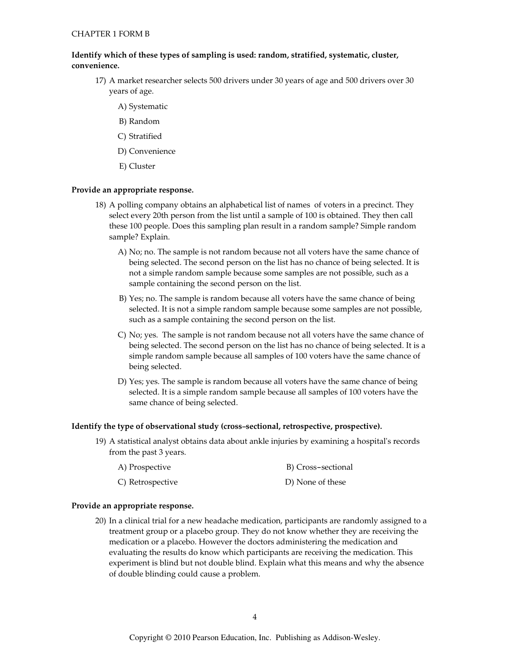# Identify which of these types of sampling is used: random, stratified, systematic, cluster, convenience.

- 17) A market researcher selects 500 drivers under 30 years of age and 500 drivers over 30 years of age.
	- A) Systematic
	- B) Random
	- C) Stratified
	- D) Convenience
	- E) Cluster

### Provide an appropriate response.

- 18) A polling company obtains an alphabetical list of names of voters in a precinct. They select every 20th person from the list until a sample of 100 is obtained. They then call these 100 people. Does this sampling plan result in a random sample? Simple random sample? Explain.
	- A) No; no. The sample is not random because not all voters have the same chance of being selected. The second person on the list has no chance of being selected. It is not a simple random sample because some samples are not possible, such as a sample containing the second person on the list.
	- B) Yes; no. The sample is random because all voters have the same chance of being selected. It is not a simple random sample because some samples are not possible, such as a sample containing the second person on the list.
	- C) No; yes. The sample is not random because not all voters have the same chance of being selected. The second person on the list has no chance of being selected. It is a simple random sample because all samples of 100 voters have the same chance of being selected.
	- D) Yes; yes. The sample is random because all voters have the same chance of being selected. It is a simple random sample because all samples of 100 voters have the same chance of being selected.

### Identify the type of observational study (cross-sectional, retrospective, prospective).

19) A statistical analyst obtains data about ankle injuries by examining a hospital's records from the past 3 years.

| A) Prospective   | B) Cross-sectional |
|------------------|--------------------|
| C) Retrospective | D) None of these   |

### Provide an appropriate response.

20) In a clinical trial for a new headache medication, participants are randomly assigned to a treatment group or a placebo group. They do not know whether they are receiving the medication or a placebo. However the doctors administering the medication and evaluating the results do know which participants are receiving the medication. This experiment is blind but not double blind. Explain what this means and why the absence of double blinding could cause a problem.